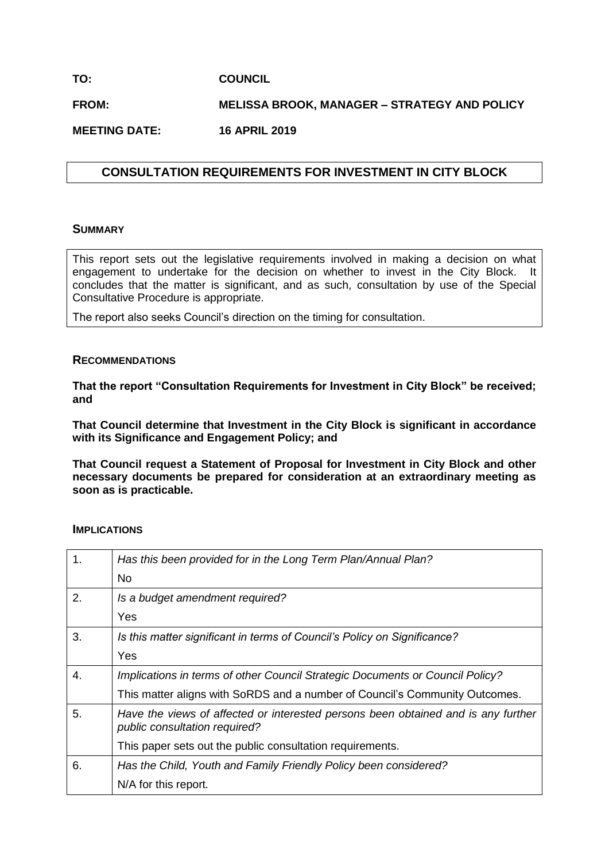**TO: COUNCIL**

# **FROM: MELISSA BROOK, MANAGER – STRATEGY AND POLICY**

**MEETING DATE: 16 APRIL 2019**

# **CONSULTATION REQUIREMENTS FOR INVESTMENT IN CITY BLOCK**

### **SUMMARY**

This report sets out the legislative requirements involved in making a decision on what engagement to undertake for the decision on whether to invest in the City Block. It concludes that the matter is significant, and as such, consultation by use of the Special Consultative Procedure is appropriate.

The report also seeks Council's direction on the timing for consultation.

### **RECOMMENDATIONS**

**That the report "Consultation Requirements for Investment in City Block" be received; and**

**That Council determine that Investment in the City Block is significant in accordance with its Significance and Engagement Policy; and** 

**That Council request a Statement of Proposal for Investment in City Block and other necessary documents be prepared for consideration at an extraordinary meeting as soon as is practicable.**

### **IMPLICATIONS**

| 1. | Has this been provided for in the Long Term Plan/Annual Plan?                                                      |
|----|--------------------------------------------------------------------------------------------------------------------|
|    | No.                                                                                                                |
| 2. | Is a budget amendment required?                                                                                    |
|    | Yes                                                                                                                |
| 3. | Is this matter significant in terms of Council's Policy on Significance?                                           |
|    | Yes                                                                                                                |
| 4. | Implications in terms of other Council Strategic Documents or Council Policy?                                      |
|    | This matter aligns with SoRDS and a number of Council's Community Outcomes.                                        |
| 5. | Have the views of affected or interested persons been obtained and is any further<br>public consultation required? |
|    | This paper sets out the public consultation requirements.                                                          |
| 6. | Has the Child, Youth and Family Friendly Policy been considered?                                                   |
|    | N/A for this report.                                                                                               |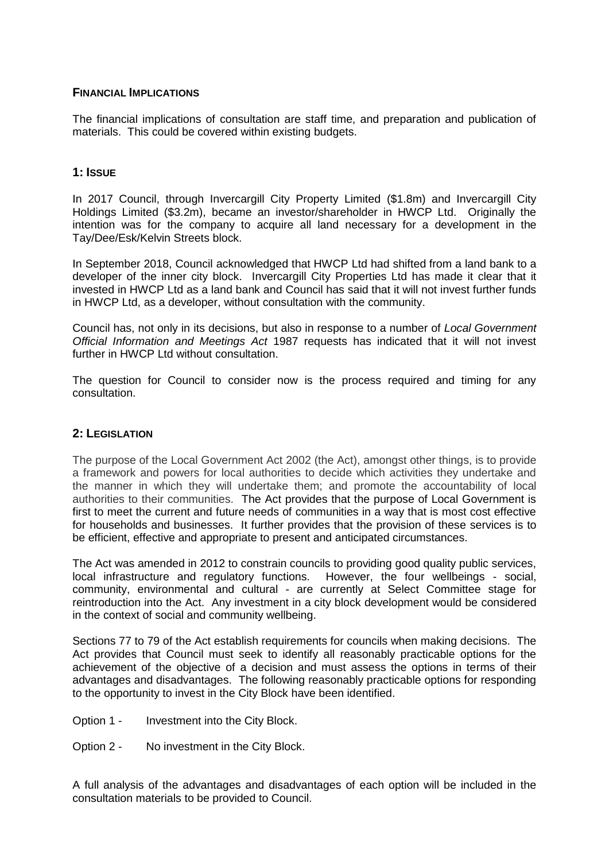## **FINANCIAL IMPLICATIONS**

The financial implications of consultation are staff time, and preparation and publication of materials. This could be covered within existing budgets.

## **1: ISSUE**

In 2017 Council, through Invercargill City Property Limited (\$1.8m) and Invercargill City Holdings Limited (\$3.2m), became an investor/shareholder in HWCP Ltd. Originally the intention was for the company to acquire all land necessary for a development in the Tay/Dee/Esk/Kelvin Streets block.

In September 2018, Council acknowledged that HWCP Ltd had shifted from a land bank to a developer of the inner city block. Invercargill City Properties Ltd has made it clear that it invested in HWCP Ltd as a land bank and Council has said that it will not invest further funds in HWCP Ltd, as a developer, without consultation with the community.

Council has, not only in its decisions, but also in response to a number of *Local Government Official Information and Meetings Act* 1987 requests has indicated that it will not invest further in HWCP Ltd without consultation.

The question for Council to consider now is the process required and timing for any consultation.

## **2: LEGISLATION**

The purpose of the Local Government Act 2002 (the Act), amongst other things, is to provide a framework and powers for local authorities to decide which activities they undertake and the manner in which they will undertake them; and promote the accountability of local authorities to their communities. The Act provides that the purpose of Local Government is first to meet the current and future needs of communities in a way that is most cost effective for households and businesses. It further provides that the provision of these services is to be efficient, effective and appropriate to present and anticipated circumstances.

The Act was amended in 2012 to constrain councils to providing good quality public services, local infrastructure and regulatory functions. However, the four wellbeings - social, community, environmental and cultural - are currently at Select Committee stage for reintroduction into the Act. Any investment in a city block development would be considered in the context of social and community wellbeing.

Sections 77 to 79 of the Act establish requirements for councils when making decisions. The Act provides that Council must seek to identify all reasonably practicable options for the achievement of the objective of a decision and must assess the options in terms of their advantages and disadvantages. The following reasonably practicable options for responding to the opportunity to invest in the City Block have been identified.

- Option 1 Investment into the City Block.
- Option 2 No investment in the City Block.

A full analysis of the advantages and disadvantages of each option will be included in the consultation materials to be provided to Council.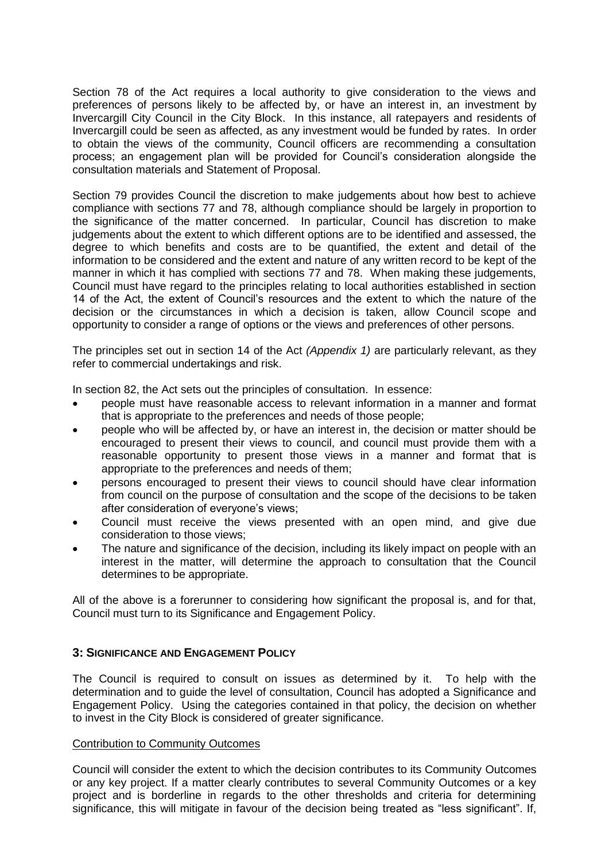Section 78 of the Act requires a local authority to give consideration to the views and preferences of persons likely to be affected by, or have an interest in, an investment by Invercargill City Council in the City Block. In this instance, all ratepayers and residents of Invercargill could be seen as affected, as any investment would be funded by rates. In order to obtain the views of the community, Council officers are recommending a consultation process; an engagement plan will be provided for Council's consideration alongside the consultation materials and Statement of Proposal.

Section 79 provides Council the discretion to make judgements about how best to achieve compliance with sections 77 and 78, although compliance should be largely in proportion to the significance of the matter concerned. In particular, Council has discretion to make judgements about the extent to which different options are to be identified and assessed, the degree to which benefits and costs are to be quantified, the extent and detail of the information to be considered and the extent and nature of any written record to be kept of the manner in which it has complied with sections 77 and 78. When making these judgements, Council must have regard to the principles relating to local authorities established in section 14 of the Act, the extent of Council's resources and the extent to which the nature of the decision or the circumstances in which a decision is taken, allow Council scope and opportunity to consider a range of options or the views and preferences of other persons.

The principles set out in section 14 of the Act *(Appendix 1)* are particularly relevant, as they refer to commercial undertakings and risk.

In section 82, the Act sets out the principles of consultation. In essence:

- people must have reasonable access to relevant information in a manner and format that is appropriate to the preferences and needs of those people;
- people who will be affected by, or have an interest in, the decision or matter should be encouraged to present their views to council, and council must provide them with a reasonable opportunity to present those views in a manner and format that is appropriate to the preferences and needs of them;
- persons encouraged to present their views to council should have clear information from council on the purpose of consultation and the scope of the decisions to be taken after consideration of everyone's views;
- Council must receive the views presented with an open mind, and give due consideration to those views;
- The nature and significance of the decision, including its likely impact on people with an interest in the matter, will determine the approach to consultation that the Council determines to be appropriate.

All of the above is a forerunner to considering how significant the proposal is, and for that, Council must turn to its Significance and Engagement Policy.

## **3: SIGNIFICANCE AND ENGAGEMENT POLICY**

The Council is required to consult on issues as determined by it. To help with the determination and to guide the level of consultation, Council has adopted a Significance and Engagement Policy. Using the categories contained in that policy, the decision on whether to invest in the City Block is considered of greater significance.

### Contribution to Community Outcomes

Council will consider the extent to which the decision contributes to its Community Outcomes or any key project. If a matter clearly contributes to several Community Outcomes or a key project and is borderline in regards to the other thresholds and criteria for determining significance, this will mitigate in favour of the decision being treated as "less significant". If,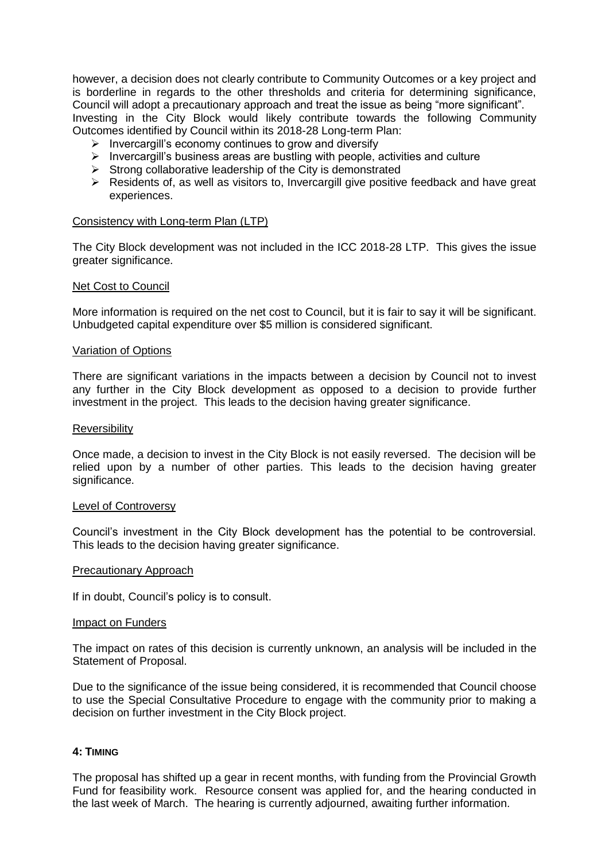however, a decision does not clearly contribute to Community Outcomes or a key project and is borderline in regards to the other thresholds and criteria for determining significance, Council will adopt a precautionary approach and treat the issue as being "more significant". Investing in the City Block would likely contribute towards the following Community Outcomes identified by Council within its 2018-28 Long-term Plan:

- $\triangleright$  Invercargill's economy continues to grow and diversify
- $\triangleright$  Invercargill's business areas are bustling with people, activities and culture
- $\triangleright$  Strong collaborative leadership of the City is demonstrated
- Residents of, as well as visitors to, Invercargill give positive feedback and have great experiences.

#### Consistency with Long-term Plan (LTP)

The City Block development was not included in the ICC 2018-28 LTP. This gives the issue greater significance.

#### Net Cost to Council

More information is required on the net cost to Council, but it is fair to say it will be significant. Unbudgeted capital expenditure over \$5 million is considered significant.

#### Variation of Options

There are significant variations in the impacts between a decision by Council not to invest any further in the City Block development as opposed to a decision to provide further investment in the project. This leads to the decision having greater significance.

#### Reversibility

Once made, a decision to invest in the City Block is not easily reversed. The decision will be relied upon by a number of other parties. This leads to the decision having greater significance.

#### Level of Controversy

Council's investment in the City Block development has the potential to be controversial. This leads to the decision having greater significance.

#### Precautionary Approach

If in doubt, Council's policy is to consult.

#### Impact on Funders

The impact on rates of this decision is currently unknown, an analysis will be included in the Statement of Proposal.

Due to the significance of the issue being considered, it is recommended that Council choose to use the Special Consultative Procedure to engage with the community prior to making a decision on further investment in the City Block project.

### **4: TIMING**

The proposal has shifted up a gear in recent months, with funding from the Provincial Growth Fund for feasibility work. Resource consent was applied for, and the hearing conducted in the last week of March. The hearing is currently adjourned, awaiting further information.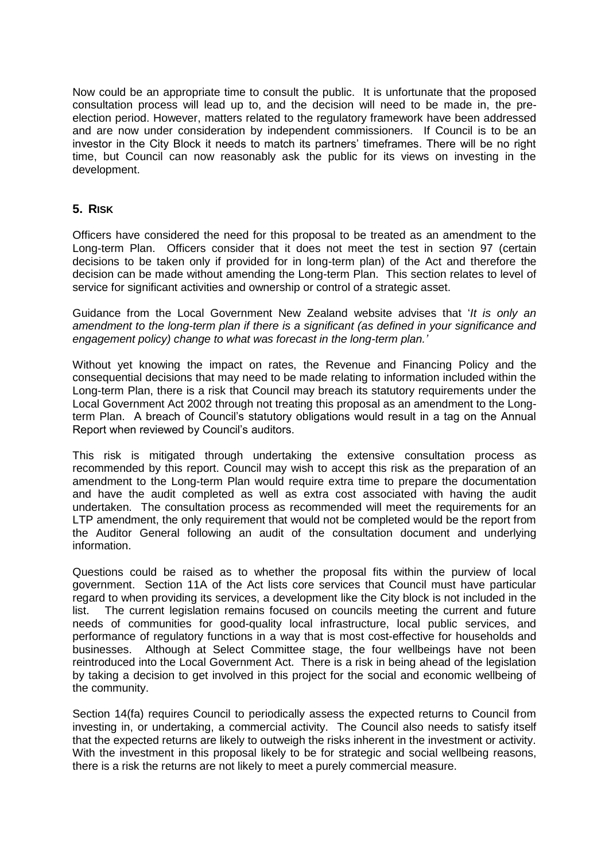Now could be an appropriate time to consult the public. It is unfortunate that the proposed consultation process will lead up to, and the decision will need to be made in, the preelection period. However, matters related to the regulatory framework have been addressed and are now under consideration by independent commissioners. If Council is to be an investor in the City Block it needs to match its partners' timeframes. There will be no right time, but Council can now reasonably ask the public for its views on investing in the development.

# **5. RISK**

Officers have considered the need for this proposal to be treated as an amendment to the Long-term Plan. Officers consider that it does not meet the test in section 97 (certain decisions to be taken only if provided for in long-term plan) of the Act and therefore the decision can be made without amending the Long-term Plan. This section relates to level of service for significant activities and ownership or control of a strategic asset.

Guidance from the Local Government New Zealand website advises that '*It is only an amendment to the long-term plan if there is a significant (as defined in your significance and engagement policy) change to what was forecast in the long-term plan.'*

Without yet knowing the impact on rates, the Revenue and Financing Policy and the consequential decisions that may need to be made relating to information included within the Long-term Plan, there is a risk that Council may breach its statutory requirements under the Local Government Act 2002 through not treating this proposal as an amendment to the Longterm Plan. A breach of Council's statutory obligations would result in a tag on the Annual Report when reviewed by Council's auditors.

This risk is mitigated through undertaking the extensive consultation process as recommended by this report. Council may wish to accept this risk as the preparation of an amendment to the Long-term Plan would require extra time to prepare the documentation and have the audit completed as well as extra cost associated with having the audit undertaken. The consultation process as recommended will meet the requirements for an LTP amendment, the only requirement that would not be completed would be the report from the Auditor General following an audit of the consultation document and underlying information.

Questions could be raised as to whether the proposal fits within the purview of local government. Section 11A of the Act lists core services that Council must have particular regard to when providing its services, a development like the City block is not included in the list. The current legislation remains focused on councils meeting the current and future needs of communities for good-quality local infrastructure, local public services, and performance of regulatory functions in a way that is most cost-effective for households and businesses. Although at Select Committee stage, the four wellbeings have not been reintroduced into the Local Government Act. There is a risk in being ahead of the legislation by taking a decision to get involved in this project for the social and economic wellbeing of the community.

Section 14(fa) requires Council to periodically assess the expected returns to Council from investing in, or undertaking, a commercial activity. The Council also needs to satisfy itself that the expected returns are likely to outweigh the risks inherent in the investment or activity. With the investment in this proposal likely to be for strategic and social wellbeing reasons, there is a risk the returns are not likely to meet a purely commercial measure.